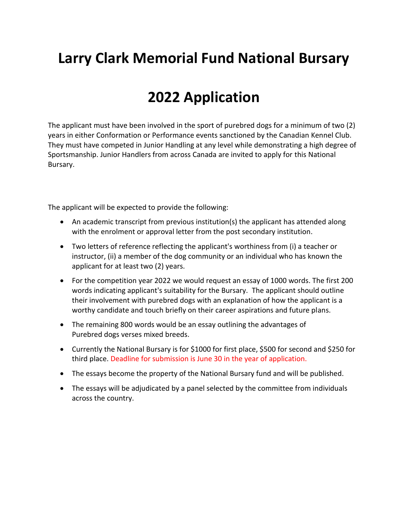## **Larry Clark Memorial Fund National Bursary**

## **2022 Application**

The applicant must have been involved in the sport of purebred dogs for a minimum of two (2) years in either Conformation or Performance events sanctioned by the Canadian Kennel Club. They must have competed in Junior Handling at any level while demonstrating a high degree of Sportsmanship. Junior Handlers from across Canada are invited to apply for this National Bursary.

The applicant will be expected to provide the following:

- An academic transcript from previous institution(s) the applicant has attended along with the enrolment or approval letter from the post secondary institution.
- Two letters of reference reflecting the applicant's worthiness from (i) a teacher or instructor, (ii) a member of the dog community or an individual who has known the applicant for at least two (2) years.
- For the competition year 2022 we would request an essay of 1000 words. The first 200 words indicating applicant's suitability for the Bursary. The applicant should outline their involvement with purebred dogs with an explanation of how the applicant is a worthy candidate and touch briefly on their career aspirations and future plans.
- The remaining 800 words would be an essay outlining the advantages of Purebred dogs verses mixed breeds.
- Currently the National Bursary is for \$1000 for first place, \$500 for second and \$250 for third place. Deadline for submission is June 30 in the year of application.
- The essays become the property of the National Bursary fund and will be published.
- The essays will be adjudicated by a panel selected by the committee from individuals across the country.